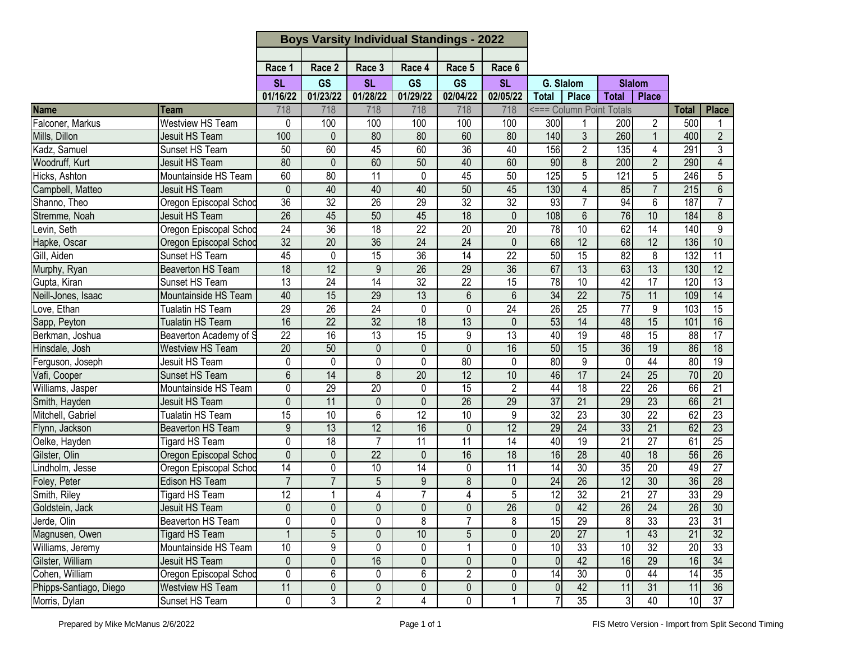|                        |                          | <b>Boys Varsity Individual Standings - 2022</b> |                 |                 |                 |                 |                 |                 |                          |                 |                 |                 |                  |
|------------------------|--------------------------|-------------------------------------------------|-----------------|-----------------|-----------------|-----------------|-----------------|-----------------|--------------------------|-----------------|-----------------|-----------------|------------------|
|                        |                          |                                                 |                 |                 |                 |                 |                 |                 |                          |                 |                 |                 |                  |
|                        |                          | Race 1                                          | Race 2          | Race 3          | Race 4          | Race 5          | Race 6          |                 |                          |                 |                 |                 |                  |
|                        |                          | <b>SL</b>                                       | <b>GS</b>       | <b>SL</b>       | GS              | <b>GS</b>       | <b>SL</b>       | G. Slalom       |                          | <b>Slalom</b>   |                 |                 |                  |
|                        |                          | 01/16/22                                        | 01/23/22        | 01/28/22        | 01/29/22        | 02/04/22        | 02/05/22        | <b>Total</b>    | Place                    | <b>Total</b>    | <b>Place</b>    |                 |                  |
| <b>Name</b>            | Team                     | 718                                             | 718             | 718             | 718             | 718             | 718             |                 | <=== Column Point Totals |                 |                 | <b>Total</b>    | <b>Place</b>     |
| Falconer, Markus       | <b>Westview HS Team</b>  | 0                                               | 100             | 100             | 100             | 100             | 100             | 300             |                          | 200             | 2               | 500             |                  |
| Mills, Dillon          | <b>Jesuit HS Team</b>    | 100                                             | $\Omega$        | 80              | 80              | 60              | 80              | 140             | 3                        | 260             | $\mathbf{1}$    | 400             | $\overline{2}$   |
| Kadz, Samuel           | Sunset HS Team           | 50                                              | 60              | 45              | 60              | 36              | 40              | 156             | $\overline{2}$           | 135             | 4               | 291             | $\overline{3}$   |
| Woodruff, Kurt         | <b>Jesuit HS Team</b>    | 80                                              | 0               | 60              | 50              | 40              | 60              | 90              | 8                        | 200             | $\overline{2}$  | 290             | $\overline{4}$   |
| Hicks, Ashton          | Mountainside HS Team     | 60                                              | 80              | $\overline{11}$ | 0               | 45              | 50              | 125             | 5                        | 121             | 5               | 246             | 5                |
| Campbell, Matteo       | <b>Jesuit HS Team</b>    | $\overline{0}$                                  | 40              | 40              | 40              | 50              | 45              | 130             | $\overline{4}$           | 85              | $\overline{7}$  | 215             | $6\overline{6}$  |
| Shanno, Theo           | Oregon Episcopal Schod   | 36                                              | 32              | $\overline{26}$ | 29              | 32              | $\overline{32}$ | 93              | $\overline{7}$           | 94              | $6\phantom{1}6$ | 187             | $\overline{7}$   |
| Stremme, Noah          | <b>Jesuit HS Team</b>    | 26                                              | 45              | 50              | 45              | $\overline{18}$ | $\overline{0}$  | 108             | $6\phantom{1}$           | 76              | 10              | 184             | $\boldsymbol{8}$ |
| Levin, Seth            | Oregon Episcopal Schod   | $\overline{24}$                                 | $\overline{36}$ | 18              | 22              | 20              | 20              | 78              | 10                       | 62              | $\overline{14}$ | 140             | 9                |
| Hapke, Oscar           | Oregon Episcopal Schod   | 32                                              | $\overline{20}$ | 36              | $\overline{24}$ | 24              | $\mathbf{0}$    | 68              | $\overline{12}$          | 68              | 12              | 136             | 10               |
| Gill, Aiden            | Sunset HS Team           | 45                                              | 0               | $\overline{15}$ | 36              | $\overline{14}$ | $\overline{22}$ | 50              | $\overline{15}$          | 82              | 8               | 132             | 11               |
| Murphy, Ryan           | Beaverton HS Team        | 18                                              | $\overline{12}$ | 9               | $\overline{26}$ | $\overline{29}$ | 36              | 67              | 13                       | 63              | 13              | 130             | 12               |
| Gupta, Kiran           | Sunset HS Team           | $\overline{13}$                                 | $\overline{24}$ | $\overline{14}$ | $\overline{32}$ | $\overline{22}$ | $\overline{15}$ | 78              | 10                       | 42              | 17              | 120             | $\overline{13}$  |
| Neill-Jones, Isaac     | Mountainside HS Team     | 40                                              | 15              | $\overline{29}$ | 13              | 6               | 6               | 34              | $\overline{22}$          | 75              | 11              | 109             | $\overline{14}$  |
| Love, Ethan            | Tualatin HS Team         | $\overline{29}$                                 | 26              | 24              | 0               | 0               | 24              | 26              | 25                       | $\overline{77}$ | 9               | 103             | $\overline{15}$  |
| Sapp, Peyton           | <b>Tualatin HS Team</b>  | 16                                              | 22              | 32              | $\overline{18}$ | 13              | $\mathbf 0$     | 53              | $\overline{14}$          | 48              | 15              | 101             | 16               |
| Berkman, Joshua        | Beaverton Academy of S   | $\overline{22}$                                 | 16              | 13              | $\overline{15}$ | 9               | $\overline{13}$ | 40              | $\overline{19}$          | 48              | 15              | $\overline{88}$ | $\overline{17}$  |
| Hinsdale, Josh         | <b>Westview HS Team</b>  | 20                                              | 50              | 0               | 0               | 0               | 16              | 50              | 15                       | 36              | 19              | 86              | 18               |
| Ferguson, Joseph       | <b>Jesuit HS Team</b>    | 0                                               | 0               | $\mathbf 0$     | $\mathbf{0}$    | 80              | 0               | 80              | $\overline{9}$           | $\overline{0}$  | 44              | 80              | 19               |
| Vafi, Cooper           | Sunset HS Team           | $\overline{6}$                                  | $\overline{14}$ | 8               | $\overline{20}$ | $\overline{12}$ | 10              | 46              | 17                       | $\overline{24}$ | 25              | 70              | $\overline{20}$  |
| Williams, Jasper       | Mountainside HS Team     | 0                                               | 29              | 20              | $\mathbf{0}$    | 15              | $\overline{2}$  | 44              | $\overline{18}$          | $\overline{22}$ | $\overline{26}$ | 66              | 21               |
| Smith, Hayden          | <b>Jesuit HS Team</b>    | $\overline{0}$                                  | 11              | $\mathbf{0}$    | $\overline{0}$  | 26              | 29              | $\overline{37}$ | $\overline{21}$          | 29              | $\overline{23}$ | 66              | 21               |
| Mitchell, Gabriel      | Tualatin HS Team         | 15                                              | 10              | 6               | $\overline{12}$ | 10              | 9               | 32              | $\overline{23}$          | 30              | $\overline{22}$ | 62              | $\overline{23}$  |
| Flynn, Jackson         | Beaverton HS Team        | 9                                               | 13              | 12              | 16              | 0               | 12              | 29              | $\overline{24}$          | 33              | $\overline{21}$ | 62              | $\overline{23}$  |
| Oelke, Hayden          | <b>Tigard HS Team</b>    | 0                                               | 18              | $\overline{7}$  | $\overline{11}$ | $\overline{11}$ | 14              | 40              | 19                       | 21              | $\overline{27}$ | 61              | 25               |
| Gilster, Olin          | Oregon Episcopal Schoo   | $\mathbf 0$                                     | 0               | 22              | $\mathbf{0}$    | 16              | 18              | 16              | 28                       | 40              | 18              | 56              | 26               |
| Lindholm, Jesse        | Oregon Episcopal Schod   | $\overline{14}$                                 | 0               | 10              | 14              | 0               | 11              | $\overline{14}$ | $\overline{30}$          | 35              | $\overline{20}$ | 49              | $\overline{27}$  |
| Foley, Peter           | Edison HS Team           | $\overline{7}$                                  | $\overline{7}$  | 5               | 9               | $\overline{8}$  | $\mathbf 0$     | 24              | $\overline{26}$          | 12              | 30              | 36              | $\overline{28}$  |
| Smith, Riley           | <b>Tigard HS Team</b>    | $\overline{12}$                                 |                 | 4               | 7               | 4               | 5               | 12              | $\overline{32}$          | $\overline{21}$ | $\overline{27}$ | 33              | $\overline{29}$  |
| Goldstein, Jack        | Jesuit HS Team           | $\pmb{0}$                                       | $\mathbf 0$     | 0               | $\mathbf 0$     | $\pmb{0}$       | 26              | 0               | 42                       | 26              | 24              | 26              | 30               |
| Jerde, Olin            | <b>Beaverton HS Team</b> | 0                                               | 0               | 0               | 8               | $\overline{7}$  | 8               | 15              | 29                       | $\infty$        | 33              | 23              | 31               |
| Magnusen, Owen         | <b>Tigard HS Team</b>    | $\mathbf{1}$                                    | 5               | $\mathbf 0$     | 10              | 5               | $\mathbf{0}$    | 20              | $\overline{27}$          |                 | 43              | $\overline{21}$ | 32               |
| Williams, Jeremy       | Mountainside HS Team     | 10 <sup>°</sup>                                 | 9               | 0               | 0               |                 | 0               | 10              | 33                       | 10              | 32              | 20              | 33               |
| Gilster, William       | Jesuit HS Team           | $\overline{0}$                                  | $\overline{0}$  | 16              | $\overline{0}$  | $\mathbf 0$     | $\overline{0}$  | $\overline{0}$  | 42                       | 16              | $\overline{29}$ | 16              | 34               |
| Cohen, William         | Oregon Episcopal Schoo   | 0                                               | 6               | 0               | 6               | $\overline{c}$  | 0               | 14              | $\overline{30}$          | 0               | 44              | 14              | $\overline{35}$  |
| Phipps-Santiago, Diego | Westview HS Team         | 11                                              | 0               | $\pmb{0}$       | 0               | $\pmb{0}$       | 0               | $\overline{0}$  | 42                       | 11              | 31              | 11              | 36               |
| Morris, Dylan          | Sunset HS Team           | 0                                               | 3               | $\overline{2}$  | 4               | 0               |                 |                 | 35                       | 3 <sup>1</sup>  | 40              | 10              | 37               |